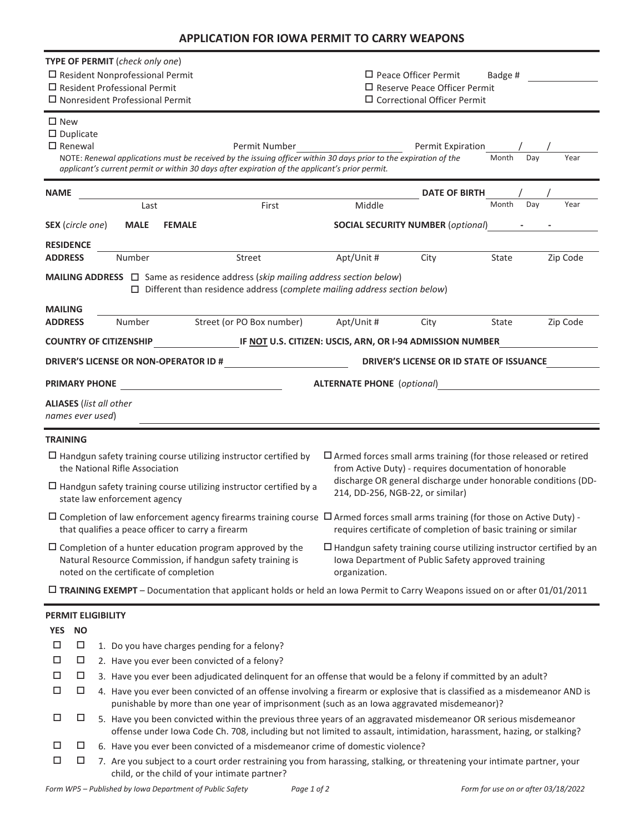| <b>APPLICATION FOR IOWA PERMIT TO CARRY WEAPONS</b> |  |  |  |
|-----------------------------------------------------|--|--|--|
|-----------------------------------------------------|--|--|--|

|                                                                                                                                                                                        |                                          |                                                    | TYPE OF PERMIT (check only one)                                                  |                                              |                                                                                                                                                                                                                                         |                                                                                                                                                                                                     |                                                                                                                                  |              |          |  |
|----------------------------------------------------------------------------------------------------------------------------------------------------------------------------------------|------------------------------------------|----------------------------------------------------|----------------------------------------------------------------------------------|----------------------------------------------|-----------------------------------------------------------------------------------------------------------------------------------------------------------------------------------------------------------------------------------------|-----------------------------------------------------------------------------------------------------------------------------------------------------------------------------------------------------|----------------------------------------------------------------------------------------------------------------------------------|--------------|----------|--|
|                                                                                                                                                                                        |                                          |                                                    | $\square$ Resident Nonprofessional Permit                                        |                                              |                                                                                                                                                                                                                                         |                                                                                                                                                                                                     | $\Box$ Peace Officer Permit                                                                                                      | Badge #      |          |  |
|                                                                                                                                                                                        |                                          |                                                    | $\Box$ Resident Professional Permit<br>$\square$ Nonresident Professional Permit |                                              |                                                                                                                                                                                                                                         |                                                                                                                                                                                                     | $\Box$ Reserve Peace Officer Permit<br>$\Box$ Correctional Officer Permit                                                        |              |          |  |
| $\square$ New                                                                                                                                                                          | $\square$ Duplicate<br>$\square$ Renewal |                                                    |                                                                                  |                                              | Permit Number<br>NOTE: Renewal applications must be received by the issuing officer within 30 days prior to the expiration of the<br>applicant's current permit or within 30 days after expiration of the applicant's prior permit.     |                                                                                                                                                                                                     | Permit Expiration                                                                                                                | Month<br>Dav | Year     |  |
| <b>NAME</b>                                                                                                                                                                            |                                          |                                                    |                                                                                  |                                              |                                                                                                                                                                                                                                         |                                                                                                                                                                                                     | <b>DATE OF BIRTH</b>                                                                                                             |              |          |  |
|                                                                                                                                                                                        |                                          |                                                    | Last                                                                             |                                              | First                                                                                                                                                                                                                                   | Middle                                                                                                                                                                                              |                                                                                                                                  | Month<br>Day | Year     |  |
|                                                                                                                                                                                        | <b>SEX</b> (circle one)                  |                                                    | <b>MALE</b>                                                                      | <b>FEMALE</b>                                |                                                                                                                                                                                                                                         |                                                                                                                                                                                                     | <b>SOCIAL SECURITY NUMBER (optional)</b>                                                                                         |              |          |  |
| <b>RESIDENCE</b>                                                                                                                                                                       |                                          |                                                    |                                                                                  |                                              |                                                                                                                                                                                                                                         |                                                                                                                                                                                                     |                                                                                                                                  |              |          |  |
| <b>ADDRESS</b>                                                                                                                                                                         |                                          |                                                    | Number                                                                           |                                              | Street                                                                                                                                                                                                                                  | Apt/Unit #                                                                                                                                                                                          | City                                                                                                                             | State        | Zip Code |  |
|                                                                                                                                                                                        |                                          |                                                    |                                                                                  |                                              | <b>MAILING ADDRESS</b> $\Box$ Same as residence address (skip mailing address section below)<br>$\Box$ Different than residence address (complete mailing address section below)                                                        |                                                                                                                                                                                                     |                                                                                                                                  |              |          |  |
| <b>MAILING</b><br><b>ADDRESS</b>                                                                                                                                                       |                                          |                                                    | <b>Number</b>                                                                    |                                              | Street (or PO Box number)                                                                                                                                                                                                               | Apt/Unit #                                                                                                                                                                                          | City                                                                                                                             | State        | Zip Code |  |
|                                                                                                                                                                                        |                                          |                                                    | <b>COUNTRY OF CITIZENSHIP</b>                                                    |                                              | IF NOT U.S. CITIZEN: USCIS, ARN, OR I-94 ADMISSION NUMBER                                                                                                                                                                               |                                                                                                                                                                                                     |                                                                                                                                  |              |          |  |
|                                                                                                                                                                                        |                                          |                                                    |                                                                                  | <b>DRIVER'S LICENSE OR NON-OPERATOR ID #</b> |                                                                                                                                                                                                                                         |                                                                                                                                                                                                     | DRIVER'S LICENSE OR ID STATE OF ISSUANCE                                                                                         |              |          |  |
|                                                                                                                                                                                        |                                          | <b>PRIMARY PHONE</b>                               |                                                                                  |                                              |                                                                                                                                                                                                                                         | <b>ALTERNATE PHONE</b> (optional)                                                                                                                                                                   |                                                                                                                                  |              |          |  |
|                                                                                                                                                                                        |                                          | <b>ALIASES</b> (list all other<br>names ever used) |                                                                                  |                                              |                                                                                                                                                                                                                                         |                                                                                                                                                                                                     |                                                                                                                                  |              |          |  |
| <b>TRAINING</b>                                                                                                                                                                        |                                          |                                                    |                                                                                  |                                              |                                                                                                                                                                                                                                         |                                                                                                                                                                                                     |                                                                                                                                  |              |          |  |
| $\Box$ Handgun safety training course utilizing instructor certified by<br>the National Rifle Association<br>$\Box$ Handgun safety training course utilizing instructor certified by a |                                          |                                                    |                                                                                  |                                              |                                                                                                                                                                                                                                         | $\Box$ Armed forces small arms training (for those released or retired<br>from Active Duty) - requires documentation of honorable<br>discharge OR general discharge under honorable conditions (DD- |                                                                                                                                  |              |          |  |
|                                                                                                                                                                                        |                                          |                                                    | state law enforcement agency                                                     |                                              |                                                                                                                                                                                                                                         | 214, DD-256, NGB-22, or similar)                                                                                                                                                                    |                                                                                                                                  |              |          |  |
|                                                                                                                                                                                        |                                          |                                                    |                                                                                  |                                              | $\Box$ Completion of law enforcement agency firearms training course $\Box$ Armed forces small arms training (for those on Active Duty) -<br>that qualifies a peace officer to carry a firearm                                          |                                                                                                                                                                                                     | requires certificate of completion of basic training or similar                                                                  |              |          |  |
|                                                                                                                                                                                        |                                          |                                                    |                                                                                  | noted on the certificate of completion       | $\Box$ Completion of a hunter education program approved by the<br>Natural Resource Commission, if handgun safety training is                                                                                                           | organization.                                                                                                                                                                                       | $\Box$ Handgun safety training course utilizing instructor certified by an<br>Iowa Department of Public Safety approved training |              |          |  |
|                                                                                                                                                                                        |                                          |                                                    |                                                                                  |                                              | $\Box$ TRAINING EXEMPT – Documentation that applicant holds or held an lowa Permit to Carry Weapons issued on or after 01/01/2011                                                                                                       |                                                                                                                                                                                                     |                                                                                                                                  |              |          |  |
|                                                                                                                                                                                        |                                          | <b>PERMIT ELIGIBILITY</b>                          |                                                                                  |                                              |                                                                                                                                                                                                                                         |                                                                                                                                                                                                     |                                                                                                                                  |              |          |  |
| YES NO                                                                                                                                                                                 |                                          |                                                    |                                                                                  |                                              |                                                                                                                                                                                                                                         |                                                                                                                                                                                                     |                                                                                                                                  |              |          |  |
| □                                                                                                                                                                                      | $\Box$                                   |                                                    |                                                                                  |                                              | 1. Do you have charges pending for a felony?                                                                                                                                                                                            |                                                                                                                                                                                                     |                                                                                                                                  |              |          |  |
| □                                                                                                                                                                                      | $\Box$                                   |                                                    |                                                                                  |                                              | 2. Have you ever been convicted of a felony?                                                                                                                                                                                            |                                                                                                                                                                                                     |                                                                                                                                  |              |          |  |
| □                                                                                                                                                                                      | $\Box$                                   |                                                    |                                                                                  |                                              | 3. Have you ever been adjudicated delinquent for an offense that would be a felony if committed by an adult?                                                                                                                            |                                                                                                                                                                                                     |                                                                                                                                  |              |          |  |
| □                                                                                                                                                                                      | о                                        |                                                    |                                                                                  |                                              | 4. Have you ever been convicted of an offense involving a firearm or explosive that is classified as a misdemeanor AND is<br>punishable by more than one year of imprisonment (such as an Iowa aggravated misdemeanor)?                 |                                                                                                                                                                                                     |                                                                                                                                  |              |          |  |
| □                                                                                                                                                                                      | □                                        |                                                    |                                                                                  |                                              | 5. Have you been convicted within the previous three years of an aggravated misdemeanor OR serious misdemeanor<br>offense under Iowa Code Ch. 708, including but not limited to assault, intimidation, harassment, hazing, or stalking? |                                                                                                                                                                                                     |                                                                                                                                  |              |          |  |
| □                                                                                                                                                                                      | о                                        |                                                    |                                                                                  |                                              | 6. Have you ever been convicted of a misdemeanor crime of domestic violence?                                                                                                                                                            |                                                                                                                                                                                                     |                                                                                                                                  |              |          |  |
| □                                                                                                                                                                                      | $\Box$                                   |                                                    |                                                                                  |                                              | 7. Are you subject to a court order restraining you from harassing, stalking, or threatening your intimate partner, your<br>child, or the child of your intimate partner?                                                               |                                                                                                                                                                                                     |                                                                                                                                  |              |          |  |